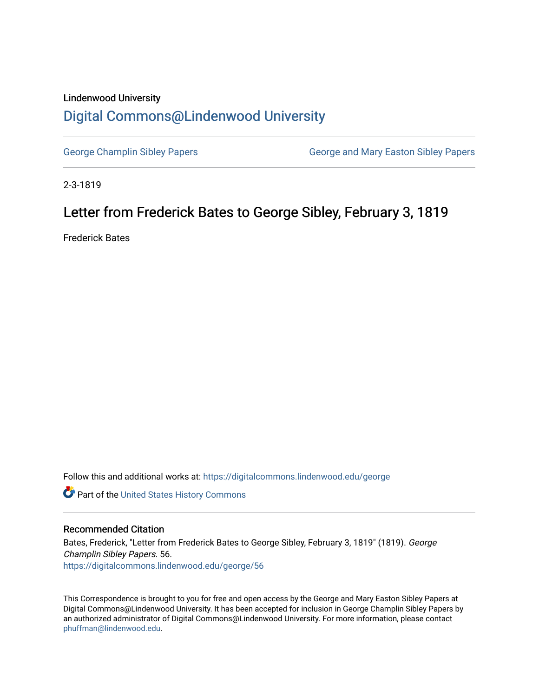## Lindenwood University [Digital Commons@Lindenwood University](https://digitalcommons.lindenwood.edu/)

[George Champlin Sibley Papers](https://digitalcommons.lindenwood.edu/george) George and Mary Easton Sibley Papers

2-3-1819

## Letter from Frederick Bates to George Sibley, February 3, 1819

Frederick Bates

Follow this and additional works at: [https://digitalcommons.lindenwood.edu/george](https://digitalcommons.lindenwood.edu/george?utm_source=digitalcommons.lindenwood.edu%2Fgeorge%2F56&utm_medium=PDF&utm_campaign=PDFCoverPages)

Part of the [United States History Commons](http://network.bepress.com/hgg/discipline/495?utm_source=digitalcommons.lindenwood.edu%2Fgeorge%2F56&utm_medium=PDF&utm_campaign=PDFCoverPages) 

## Recommended Citation

Bates, Frederick, "Letter from Frederick Bates to George Sibley, February 3, 1819" (1819). George Champlin Sibley Papers. 56. [https://digitalcommons.lindenwood.edu/george/56](https://digitalcommons.lindenwood.edu/george/56?utm_source=digitalcommons.lindenwood.edu%2Fgeorge%2F56&utm_medium=PDF&utm_campaign=PDFCoverPages) 

This Correspondence is brought to you for free and open access by the George and Mary Easton Sibley Papers at Digital Commons@Lindenwood University. It has been accepted for inclusion in George Champlin Sibley Papers by an authorized administrator of Digital Commons@Lindenwood University. For more information, please contact [phuffman@lindenwood.edu](mailto:phuffman@lindenwood.edu).